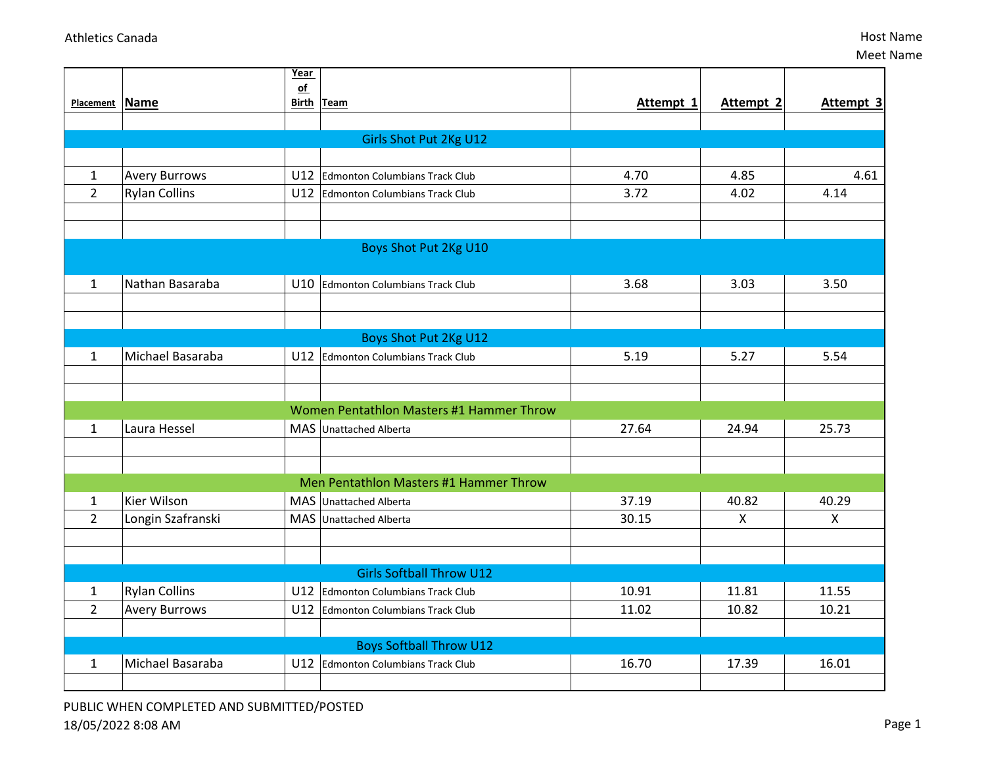|                                |                      | Year          |                                                                  |                |                             |            |
|--------------------------------|----------------------|---------------|------------------------------------------------------------------|----------------|-----------------------------|------------|
| Placement Name                 |                      | $\mathsf{of}$ | Birth Team                                                       | Attempt 1      | Attempt 2                   | Attempt 3  |
|                                |                      |               |                                                                  |                |                             |            |
|                                |                      |               | Girls Shot Put 2Kg U12                                           |                |                             |            |
|                                |                      |               |                                                                  |                |                             |            |
| $\mathbf{1}$                   | <b>Avery Burrows</b> | U12           | <b>Edmonton Columbians Track Club</b>                            | 4.70           | 4.85                        | 4.61       |
| $\overline{2}$                 | <b>Rylan Collins</b> | U12           | Edmonton Columbians Track Club                                   | 3.72           | 4.02                        | 4.14       |
|                                |                      |               |                                                                  |                |                             |            |
|                                |                      |               |                                                                  |                |                             |            |
|                                |                      |               | Boys Shot Put 2Kg U10                                            |                |                             |            |
| 1                              | Nathan Basaraba      |               | U10 Edmonton Columbians Track Club                               | 3.68           | 3.03                        | 3.50       |
|                                |                      |               |                                                                  |                |                             |            |
|                                |                      |               |                                                                  |                |                             |            |
|                                |                      |               | Boys Shot Put 2Kg U12                                            |                |                             |            |
| $\mathbf{1}$                   | Michael Basaraba     | U12           | Edmonton Columbians Track Club                                   | 5.19           | 5.27                        | 5.54       |
|                                |                      |               |                                                                  |                |                             |            |
|                                |                      |               |                                                                  |                |                             |            |
|                                |                      |               | Women Pentathlon Masters #1 Hammer Throw                         |                |                             |            |
| $\mathbf{1}$                   | Laura Hessel         |               | MAS Unattached Alberta                                           | 27.64          | 24.94                       | 25.73      |
|                                |                      |               |                                                                  |                |                             |            |
|                                |                      |               |                                                                  |                |                             |            |
|                                | Kier Wilson          |               | Men Pentathlon Masters #1 Hammer Throw<br>MAS Unattached Alberta |                |                             |            |
| $\mathbf{1}$<br>$\overline{2}$ | Longin Szafranski    | <b>MAS</b>    | <b>Unattached Alberta</b>                                        | 37.19<br>30.15 | 40.82<br>$\pmb{\mathsf{X}}$ | 40.29<br>Χ |
|                                |                      |               |                                                                  |                |                             |            |
|                                |                      |               |                                                                  |                |                             |            |
|                                |                      |               | <b>Girls Softball Throw U12</b>                                  |                |                             |            |
| $\mathbf{1}$                   | <b>Rylan Collins</b> | U12           | Edmonton Columbians Track Club                                   | 10.91          | 11.81                       | 11.55      |
| $\overline{2}$                 | <b>Avery Burrows</b> |               | U12 Edmonton Columbians Track Club                               | 11.02          | 10.82                       | 10.21      |
|                                |                      |               |                                                                  |                |                             |            |
|                                |                      |               | <b>Boys Softball Throw U12</b>                                   |                |                             |            |
| $\mathbf{1}$                   | Michael Basaraba     |               | U12 Edmonton Columbians Track Club                               | 16.70          | 17.39                       | 16.01      |
|                                |                      |               |                                                                  |                |                             |            |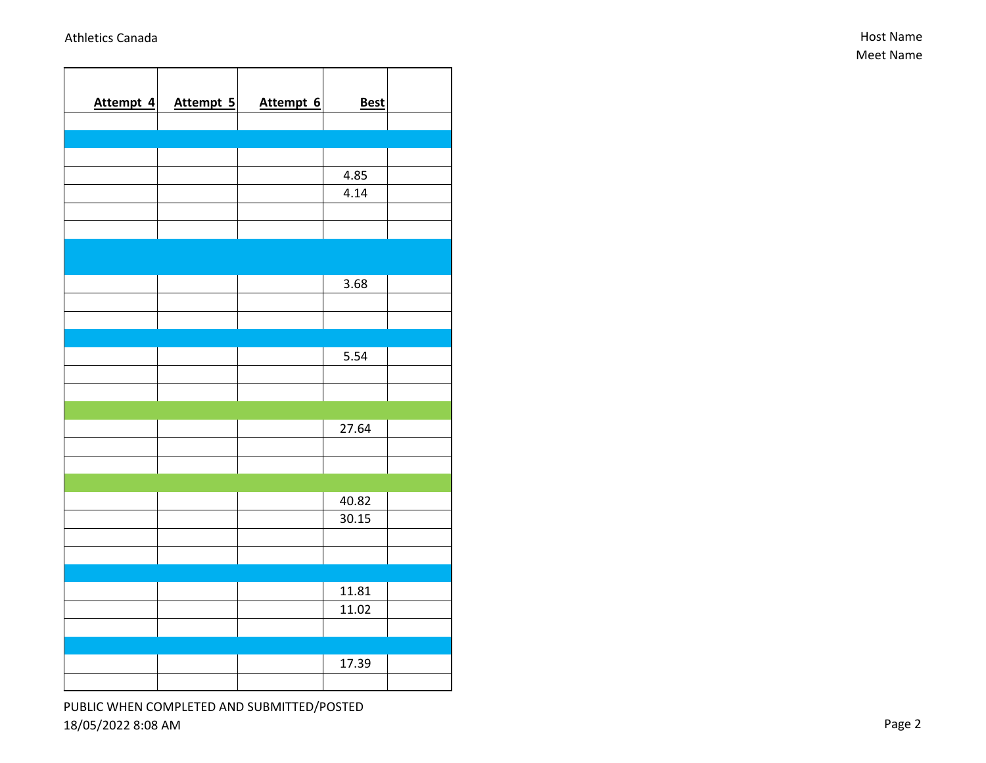| Attempt 4 | Attempt 5 | Attempt 6 | <b>Best</b> |  |
|-----------|-----------|-----------|-------------|--|
|           |           |           |             |  |
|           |           |           |             |  |
|           |           |           | 4.85        |  |
|           |           |           | 4.14        |  |
|           |           |           |             |  |
|           |           |           |             |  |
|           |           |           |             |  |
|           |           |           | 3.68        |  |
|           |           |           |             |  |
|           |           |           |             |  |
|           |           |           | 5.54        |  |
|           |           |           |             |  |
|           |           |           |             |  |
|           |           |           | 27.64       |  |
|           |           |           |             |  |
|           |           |           |             |  |
|           |           |           | 40.82       |  |
|           |           |           | 30.15       |  |
|           |           |           |             |  |
|           |           |           |             |  |
|           |           |           | 11.81       |  |
|           |           |           | 11.02       |  |
|           |           |           |             |  |
|           |           |           | 17.39       |  |
|           |           |           |             |  |
|           |           |           |             |  |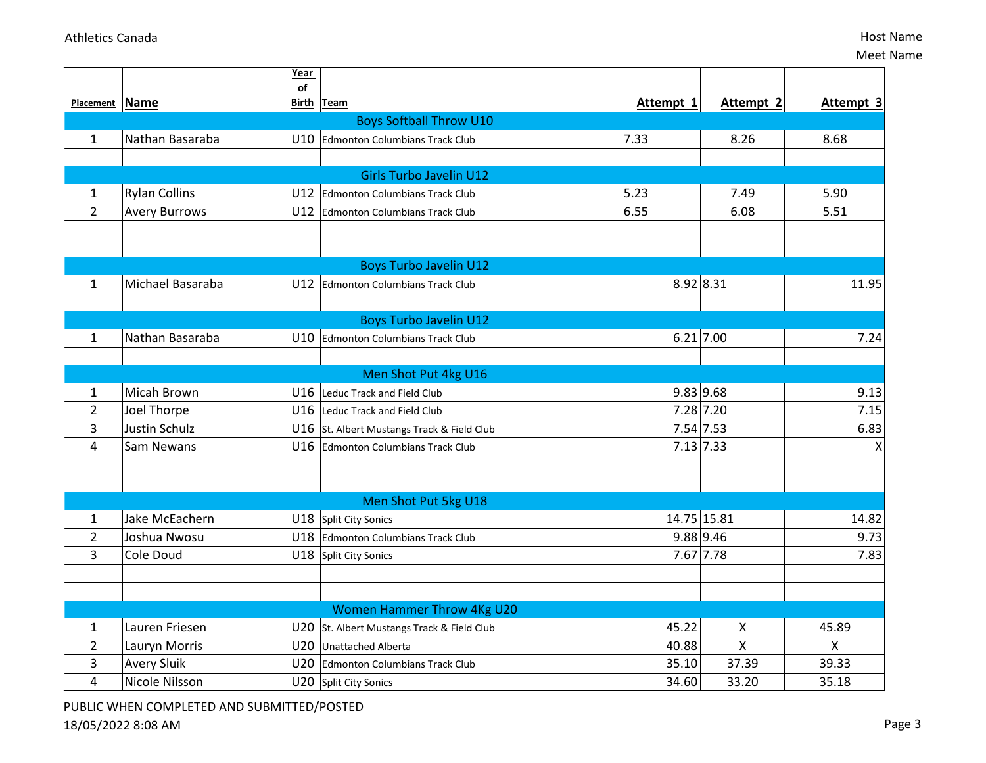|                |                      | Year                      |                                            |             |           |              |
|----------------|----------------------|---------------------------|--------------------------------------------|-------------|-----------|--------------|
| Placement Name |                      | $\underline{\mathsf{of}}$ | Birth Team                                 | Attempt 1   | Attempt 2 | Attempt 3    |
|                |                      |                           | <b>Boys Softball Throw U10</b>             |             |           |              |
| 1              | Nathan Basaraba      | U10                       | Edmonton Columbians Track Club             | 7.33        | 8.26      | 8.68         |
|                |                      |                           |                                            |             |           |              |
|                |                      |                           | <b>Girls Turbo Javelin U12</b>             |             |           |              |
| 1              | <b>Rylan Collins</b> | U12                       | Edmonton Columbians Track Club             | 5.23        | 7.49      | 5.90         |
| $\overline{2}$ | <b>Avery Burrows</b> |                           | U12 Edmonton Columbians Track Club         | 6.55        | 6.08      | 5.51         |
|                |                      |                           |                                            |             |           |              |
|                |                      |                           |                                            |             |           |              |
|                |                      |                           | <b>Boys Turbo Javelin U12</b>              |             |           |              |
| $\mathbf{1}$   | Michael Basaraba     |                           | U12 Edmonton Columbians Track Club         | 8.92 8.31   |           | 11.95        |
|                |                      |                           |                                            |             |           |              |
|                |                      |                           | <b>Boys Turbo Javelin U12</b>              |             |           |              |
| $\mathbf{1}$   | Nathan Basaraba      | U10                       | Edmonton Columbians Track Club             | 6.21 7.00   |           | 7.24         |
|                |                      |                           |                                            |             |           |              |
|                |                      |                           | Men Shot Put 4kg U16                       |             |           |              |
| 1              | Micah Brown          | U16                       | Leduc Track and Field Club                 | 9.83 9.68   |           | 9.13         |
| $\overline{2}$ | Joel Thorpe          | U16                       | Leduc Track and Field Club                 | 7.28 7.20   |           | 7.15         |
| 3              | <b>Justin Schulz</b> | U16                       | St. Albert Mustangs Track & Field Club     | 7.54 7.53   |           | 6.83         |
| 4              | Sam Newans           | U16                       | <b>Edmonton Columbians Track Club</b>      | 7.13 7.33   |           | X            |
|                |                      |                           |                                            |             |           |              |
|                |                      |                           |                                            |             |           |              |
|                |                      |                           | Men Shot Put 5kg U18                       |             |           |              |
| 1              | Jake McEachern       |                           | U18 Split City Sonics                      | 14.75 15.81 |           | 14.82        |
| $\overline{2}$ | Joshua Nwosu         |                           | U18 Edmonton Columbians Track Club         | 9.88 9.46   |           | 9.73         |
| 3              | Cole Doud            |                           | U18 Split City Sonics                      | 7.67 7.78   |           | 7.83         |
|                |                      |                           |                                            |             |           |              |
|                |                      |                           |                                            |             |           |              |
|                |                      |                           | <b>Women Hammer Throw 4Kg U20</b>          |             |           |              |
| 1              | Lauren Friesen       |                           | U20 St. Albert Mustangs Track & Field Club | 45.22       | X         | 45.89        |
| $\overline{2}$ | Lauryn Morris        | U20                       | Unattached Alberta                         | 40.88       | Χ         | $\mathsf{X}$ |
| 3              | <b>Avery Sluik</b>   | U20                       | Edmonton Columbians Track Club             | 35.10       | 37.39     | 39.33        |
| 4              | Nicole Nilsson       |                           | U20 Split City Sonics                      | 34.60       | 33.20     | 35.18        |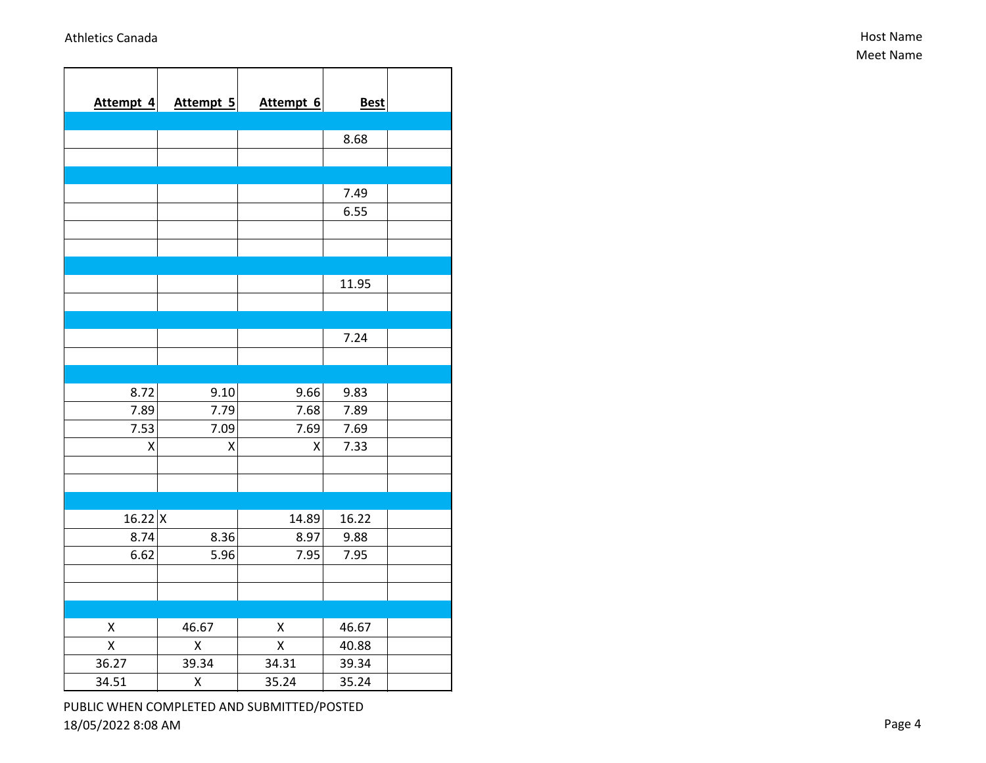| Attempt 4 | Attempt 5 | Attempt 6 | <b>Best</b> |  |
|-----------|-----------|-----------|-------------|--|
|           |           |           |             |  |
|           |           |           | 8.68        |  |
|           |           |           |             |  |
|           |           |           |             |  |
|           |           |           | 7.49        |  |
|           |           |           | 6.55        |  |
|           |           |           |             |  |
|           |           |           |             |  |
|           |           |           |             |  |
|           |           |           | 11.95       |  |
|           |           |           |             |  |
|           |           |           |             |  |
|           |           |           | 7.24        |  |
|           |           |           |             |  |
|           |           |           |             |  |
| 8.72      | 9.10      | 9.66      | 9.83        |  |
| 7.89      | 7.79      | 7.68      | 7.89        |  |
| 7.53      | 7.09      | 7.69      | 7.69        |  |
| X         | X         | X         | 7.33        |  |
|           |           |           |             |  |
|           |           |           |             |  |
|           |           |           |             |  |
| $16.22$ X |           | 14.89     | 16.22       |  |
| 8.74      | 8.36      | 8.97      | 9.88        |  |
| 6.62      | 5.96      | 7.95      | 7.95        |  |
|           |           |           |             |  |
|           |           |           |             |  |
|           |           |           |             |  |
| X         | 46.67     | Χ         | 46.67       |  |
| Χ         | X         | X         | 40.88       |  |
| 36.27     | 39.34     | 34.31     | 39.34       |  |
| 34.51     | Χ         | 35.24     | 35.24       |  |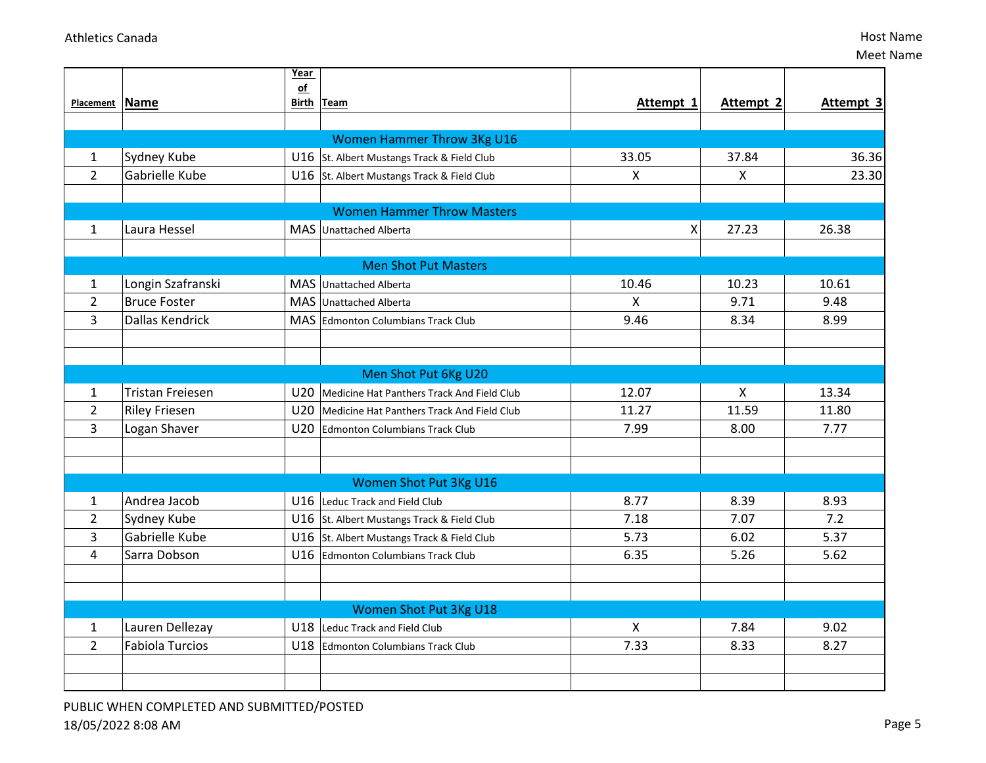|                |                        | <b>Year</b>     |                                            |              |           |           |
|----------------|------------------------|-----------------|--------------------------------------------|--------------|-----------|-----------|
|                |                        | of              |                                            | Attempt 1    |           |           |
| Placement Name |                        |                 | Birth Team                                 |              | Attempt 2 | Attempt 3 |
|                |                        |                 |                                            |              |           |           |
|                |                        |                 | <b>Women Hammer Throw 3Kg U16</b>          |              |           | 36.36     |
| 1              | Sydney Kube            |                 | U16 St. Albert Mustangs Track & Field Club | 33.05        | 37.84     |           |
| $\overline{2}$ | Gabrielle Kube         |                 | U16 St. Albert Mustangs Track & Field Club | $\mathsf{X}$ | X         | 23.30     |
|                |                        |                 |                                            |              |           |           |
|                |                        |                 | <b>Women Hammer Throw Masters</b>          |              |           |           |
| $\mathbf{1}$   | Laura Hessel           |                 | MAS Unattached Alberta                     | Χ            | 27.23     | 26.38     |
|                |                        |                 |                                            |              |           |           |
|                |                        |                 | <b>Men Shot Put Masters</b>                |              |           |           |
| 1              | Longin Szafranski      |                 | MAS Unattached Alberta                     | 10.46        | 10.23     | 10.61     |
| $\overline{2}$ | Bruce Foster           |                 | MAS Unattached Alberta                     | $\mathsf{X}$ | 9.71      | 9.48      |
| $\overline{3}$ | Dallas Kendrick        |                 | MAS Edmonton Columbians Track Club         | 9.46         | 8.34      | 8.99      |
|                |                        |                 |                                            |              |           |           |
|                |                        |                 |                                            |              |           |           |
|                |                        |                 | Men Shot Put 6Kg U20                       |              |           |           |
| 1              | Tristan Freiesen       | U20             | Medicine Hat Panthers Track And Field Club | 12.07        | X         | 13.34     |
| $\overline{2}$ | Riley Friesen          | U <sub>20</sub> | Medicine Hat Panthers Track And Field Club | 11.27        | 11.59     | 11.80     |
| 3              | Logan Shaver           |                 | U20 Edmonton Columbians Track Club         | 7.99         | 8.00      | 7.77      |
|                |                        |                 |                                            |              |           |           |
|                |                        |                 |                                            |              |           |           |
|                |                        |                 | Women Shot Put 3Kg U16                     |              |           |           |
| 1              | Andrea Jacob           |                 | U16 Leduc Track and Field Club             | 8.77         | 8.39      | 8.93      |
| $\overline{2}$ | Sydney Kube            |                 | U16 St. Albert Mustangs Track & Field Club | 7.18         | 7.07      | 7.2       |
| 3              | Gabrielle Kube         |                 | U16 St. Albert Mustangs Track & Field Club | 5.73         | 6.02      | 5.37      |
| 4              | Sarra Dobson           |                 | U16 Edmonton Columbians Track Club         | 6.35         | 5.26      | 5.62      |
|                |                        |                 |                                            |              |           |           |
|                |                        |                 |                                            |              |           |           |
|                |                        |                 | Women Shot Put 3Kg U18                     |              |           |           |
| 1              | Lauren Dellezay        |                 | U18 Leduc Track and Field Club             | X            | 7.84      | 9.02      |
| $\overline{2}$ | <b>Fabiola Turcios</b> |                 | U18 Edmonton Columbians Track Club         | 7.33         | 8.33      | 8.27      |
|                |                        |                 |                                            |              |           |           |
|                |                        |                 |                                            |              |           |           |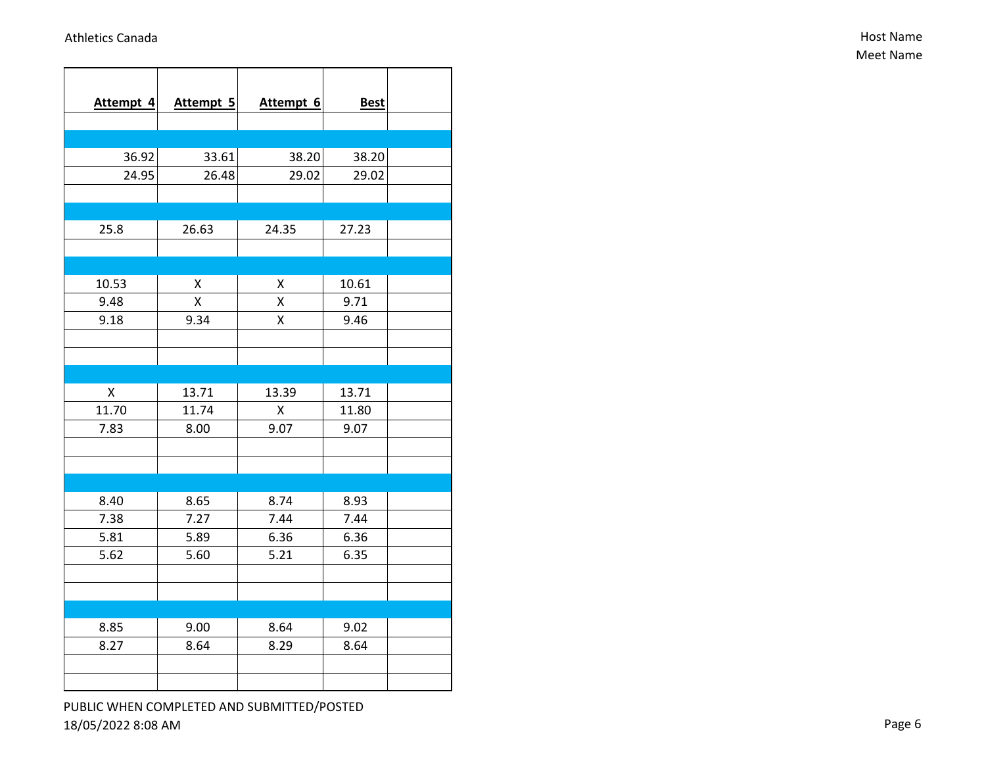| Attempt 4 | Attempt 5 | Attempt 6 | <b>Best</b> |  |
|-----------|-----------|-----------|-------------|--|
|           |           |           |             |  |
|           |           |           |             |  |
| 36.92     | 33.61     | 38.20     | 38.20       |  |
| 24.95     | 26.48     | 29.02     | 29.02       |  |
|           |           |           |             |  |
|           |           |           |             |  |
| 25.8      | 26.63     | 24.35     | 27.23       |  |
|           |           |           |             |  |
|           |           |           |             |  |
| 10.53     | Χ         | X         | 10.61       |  |
| 9.48      | X         | Χ         | 9.71        |  |
| 9.18      | 9.34      | Χ         | 9.46        |  |
|           |           |           |             |  |
|           |           |           |             |  |
|           |           |           |             |  |
| Χ         | 13.71     | 13.39     | 13.71       |  |
| 11.70     | 11.74     | Χ         | 11.80       |  |
| 7.83      | 8.00      | 9.07      | 9.07        |  |
|           |           |           |             |  |
|           |           |           |             |  |
|           |           |           |             |  |
| 8.40      | 8.65      | 8.74      | 8.93        |  |
| 7.38      | 7.27      | 7.44      | 7.44        |  |
| 5.81      | 5.89      | 6.36      | 6.36        |  |
| 5.62      | 5.60      | 5.21      | 6.35        |  |
|           |           |           |             |  |
|           |           |           |             |  |
|           |           |           |             |  |
| 8.85      | 9.00      | 8.64      | 9.02        |  |
| 8.27      | 8.64      | 8.29      | 8.64        |  |
|           |           |           |             |  |
|           |           |           |             |  |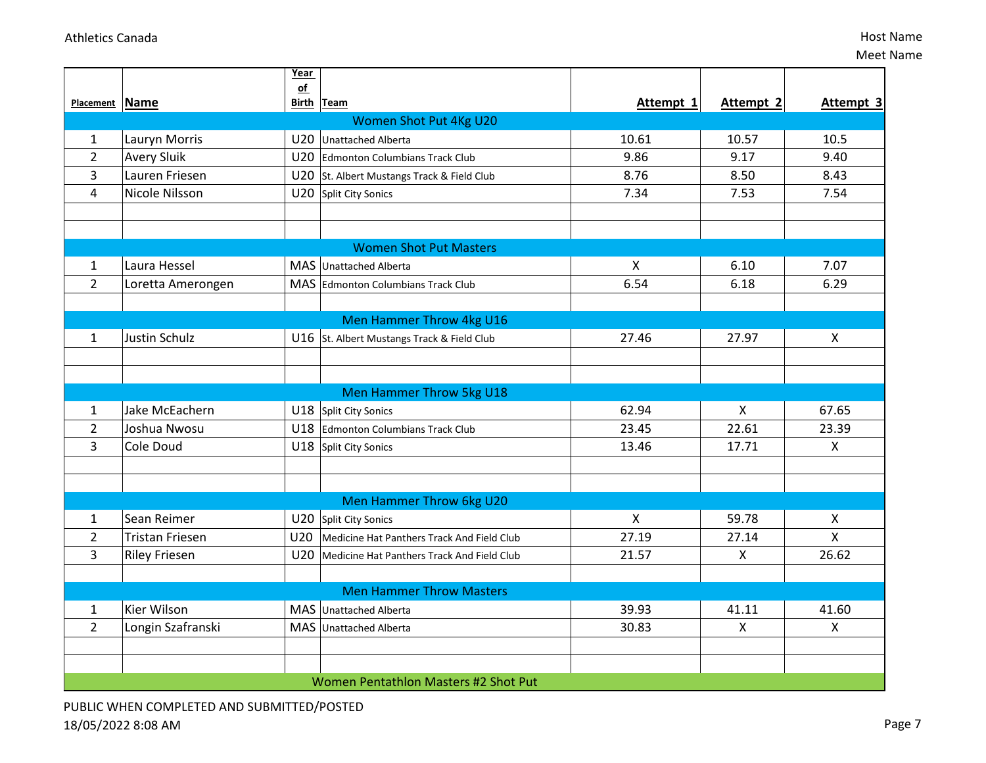|                |                        | Year       |                                                |                           |                           |                |  |  |  |  |
|----------------|------------------------|------------|------------------------------------------------|---------------------------|---------------------------|----------------|--|--|--|--|
| Placement Name |                        | $of$       | Birth Team                                     | Attempt 1                 | Attempt 2                 | Attempt 3      |  |  |  |  |
|                | Women Shot Put 4Kg U20 |            |                                                |                           |                           |                |  |  |  |  |
| $\mathbf{1}$   | Lauryn Morris          | U20        | Unattached Alberta                             | 10.61                     | 10.57                     | 10.5           |  |  |  |  |
| $\overline{2}$ | <b>Avery Sluik</b>     |            | U20 Edmonton Columbians Track Club             | 9.86                      | 9.17                      | 9.40           |  |  |  |  |
| 3              | Lauren Friesen         |            | U20 St. Albert Mustangs Track & Field Club     | 8.76                      | 8.50                      | 8.43           |  |  |  |  |
| $\overline{4}$ | Nicole Nilsson         | U20        | Split City Sonics                              | 7.34                      | 7.53                      | 7.54           |  |  |  |  |
|                |                        |            |                                                |                           |                           |                |  |  |  |  |
|                |                        |            |                                                |                           |                           |                |  |  |  |  |
|                |                        |            | <b>Women Shot Put Masters</b>                  |                           |                           |                |  |  |  |  |
| $\mathbf{1}$   | Laura Hessel           |            | MAS Unattached Alberta                         | $\mathsf{x}$              | 6.10                      | 7.07           |  |  |  |  |
| $\overline{2}$ | Loretta Amerongen      |            | MAS Edmonton Columbians Track Club             | 6.54                      | 6.18                      | 6.29           |  |  |  |  |
|                |                        |            |                                                |                           |                           |                |  |  |  |  |
|                |                        |            | Men Hammer Throw 4kg U16                       |                           |                           |                |  |  |  |  |
| 1              | <b>Justin Schulz</b>   |            | U16 St. Albert Mustangs Track & Field Club     | 27.46                     | 27.97                     | X              |  |  |  |  |
|                |                        |            |                                                |                           |                           |                |  |  |  |  |
|                |                        |            |                                                |                           |                           |                |  |  |  |  |
|                |                        |            | <b>Men Hammer Throw 5kg U18</b>                |                           |                           |                |  |  |  |  |
| $\mathbf{1}$   | Jake McEachern         |            | U18 Split City Sonics                          | 62.94                     | $\boldsymbol{\mathsf{X}}$ | 67.65          |  |  |  |  |
| $\overline{2}$ | Joshua Nwosu           |            | U18 Edmonton Columbians Track Club             | 23.45                     | 22.61                     | 23.39          |  |  |  |  |
| $\overline{3}$ | Cole Doud              |            | U18 Split City Sonics                          | 13.46                     | 17.71                     | $\mathsf{X}$   |  |  |  |  |
|                |                        |            |                                                |                           |                           |                |  |  |  |  |
|                |                        |            |                                                |                           |                           |                |  |  |  |  |
|                |                        |            | Men Hammer Throw 6kg U20                       |                           |                           |                |  |  |  |  |
| 1              | Sean Reimer            |            | U20 Split City Sonics                          | $\boldsymbol{\mathsf{X}}$ | 59.78                     | X              |  |  |  |  |
| $\overline{2}$ | <b>Tristan Friesen</b> | U20        | Medicine Hat Panthers Track And Field Club     | 27.19                     | 27.14                     | X              |  |  |  |  |
| 3              | <b>Riley Friesen</b>   |            | U20 Medicine Hat Panthers Track And Field Club | 21.57                     | $\boldsymbol{\mathsf{X}}$ | 26.62          |  |  |  |  |
|                |                        |            |                                                |                           |                           |                |  |  |  |  |
|                |                        |            | <b>Men Hammer Throw Masters</b>                |                           |                           |                |  |  |  |  |
| 1              | Kier Wilson            |            | MAS Unattached Alberta                         | 39.93                     | 41.11                     | 41.60          |  |  |  |  |
| $\overline{2}$ | Longin Szafranski      | <b>MAS</b> | <b>Unattached Alberta</b>                      | 30.83                     | $\boldsymbol{\mathsf{X}}$ | $\pmb{\times}$ |  |  |  |  |
|                |                        |            |                                                |                           |                           |                |  |  |  |  |
|                |                        |            |                                                |                           |                           |                |  |  |  |  |
|                |                        |            | Women Pentathlon Masters #2 Shot Put           |                           |                           |                |  |  |  |  |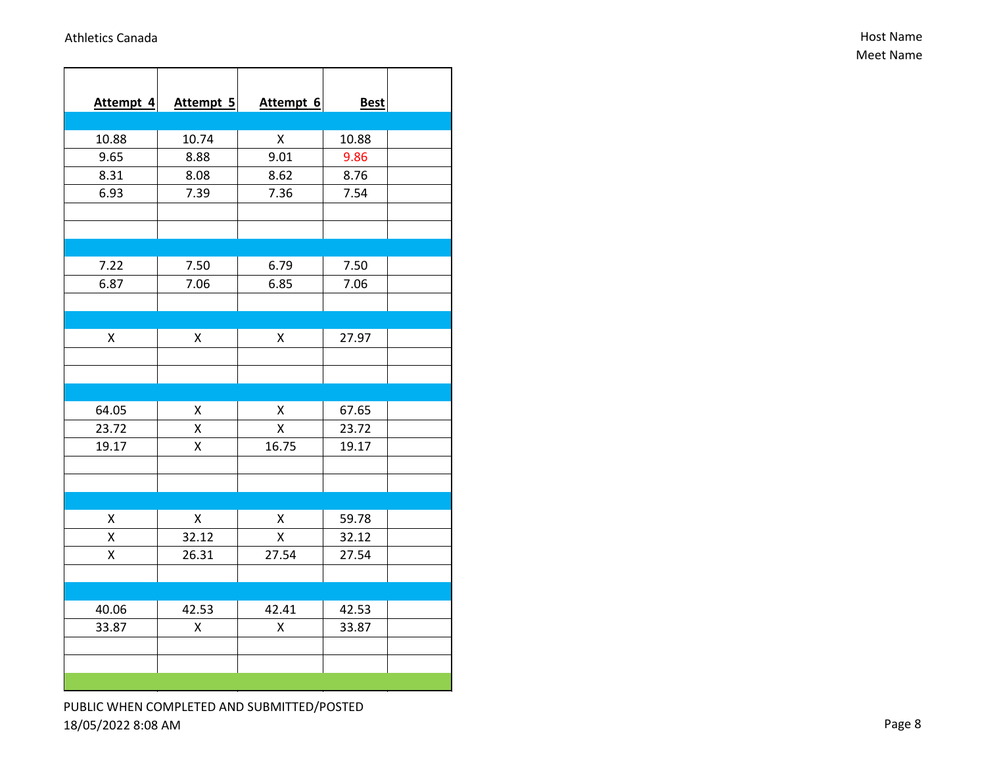| Attempt 4 | Attempt 5 | Attempt 6 | <b>Best</b> |  |
|-----------|-----------|-----------|-------------|--|
|           |           |           |             |  |
| 10.88     | 10.74     | Χ         | 10.88       |  |
| 9.65      | 8.88      | 9.01      | 9.86        |  |
| 8.31      | 8.08      | 8.62      | 8.76        |  |
| 6.93      | 7.39      | 7.36      | 7.54        |  |
|           |           |           |             |  |
|           |           |           |             |  |
|           |           |           |             |  |
| 7.22      | 7.50      | 6.79      | 7.50        |  |
| 6.87      | 7.06      | 6.85      | 7.06        |  |
|           |           |           |             |  |
|           |           |           |             |  |
| X         | Χ         | Χ         | 27.97       |  |
|           |           |           |             |  |
|           |           |           |             |  |
|           |           |           |             |  |
| 64.05     | Χ         | X         | 67.65       |  |
| 23.72     | Χ         | X         | 23.72       |  |
| 19.17     | Χ         | 16.75     | 19.17       |  |
|           |           |           |             |  |
|           |           |           |             |  |
|           |           |           |             |  |
| Χ         | Χ         | Χ         | 59.78       |  |
| X         | 32.12     | X         | 32.12       |  |
| Χ         | 26.31     | 27.54     | 27.54       |  |
|           |           |           |             |  |
|           |           |           |             |  |
| 40.06     | 42.53     | 42.41     | 42.53       |  |
| 33.87     | Χ         | Χ         | 33.87       |  |
|           |           |           |             |  |
|           |           |           |             |  |
|           |           |           |             |  |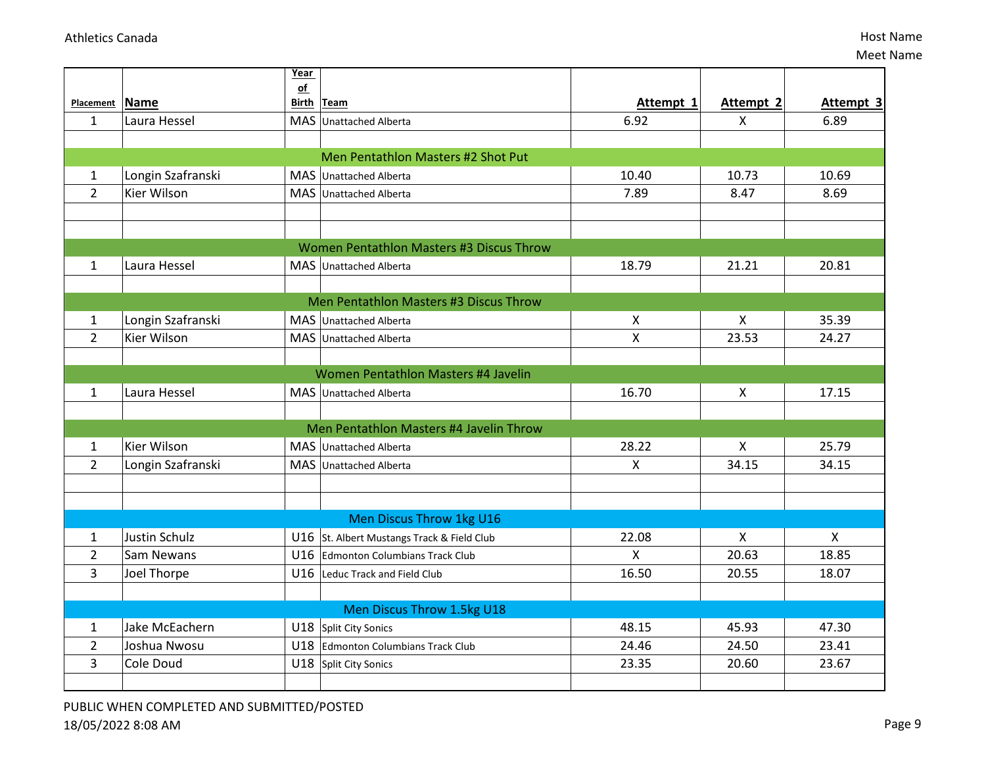|                |                   | <b>Year</b> |                                            |                           |                |              |
|----------------|-------------------|-------------|--------------------------------------------|---------------------------|----------------|--------------|
| Placement Name |                   | of          | Birth Team                                 | Attempt 1                 | Attempt 2      | Attempt 3    |
|                | Laura Hessel      |             |                                            | 6.92                      |                | 6.89         |
| $\mathbf{1}$   |                   |             | MAS Unattached Alberta                     |                           | X              |              |
|                |                   |             |                                            |                           |                |              |
|                |                   |             | Men Pentathlon Masters #2 Shot Put         |                           |                |              |
| $\mathbf{1}$   | Longin Szafranski |             | MAS Unattached Alberta                     | 10.40                     | 10.73          | 10.69        |
| $\overline{2}$ | Kier Wilson       |             | <b>MAS</b> Unattached Alberta              | 7.89                      | 8.47           | 8.69         |
|                |                   |             |                                            |                           |                |              |
|                |                   |             |                                            |                           |                |              |
|                |                   |             | Women Pentathlon Masters #3 Discus Throw   |                           |                |              |
| 1              | Laura Hessel      |             | MAS Unattached Alberta                     | 18.79                     | 21.21          | 20.81        |
|                |                   |             |                                            |                           |                |              |
|                |                   |             | Men Pentathlon Masters #3 Discus Throw     |                           |                |              |
| $\mathbf{1}$   | Longin Szafranski |             | MAS Unattached Alberta                     | $\boldsymbol{\mathsf{X}}$ | X              | 35.39        |
| $\overline{2}$ | Kier Wilson       |             | MAS Unattached Alberta                     | $\pmb{\mathsf{X}}$        | 23.53          | 24.27        |
|                |                   |             |                                            |                           |                |              |
|                |                   |             | Women Pentathlon Masters #4 Javelin        |                           |                |              |
| $\mathbf{1}$   | Laura Hessel      |             | MAS Unattached Alberta                     | 16.70                     | $\pmb{\times}$ | 17.15        |
|                |                   |             |                                            |                           |                |              |
|                |                   |             | Men Pentathlon Masters #4 Javelin Throw    |                           |                |              |
| $\mathbf{1}$   | Kier Wilson       |             | MAS Unattached Alberta                     | 28.22                     | X              | 25.79        |
| $\overline{2}$ | Longin Szafranski |             | MAS Unattached Alberta                     | X                         | 34.15          | 34.15        |
|                |                   |             |                                            |                           |                |              |
|                |                   |             |                                            |                           |                |              |
|                |                   |             | Men Discus Throw 1kg U16                   |                           |                |              |
| $\mathbf{1}$   | Justin Schulz     |             | U16 St. Albert Mustangs Track & Field Club | 22.08                     | X              | $\mathsf{X}$ |
| $\overline{2}$ | Sam Newans        |             | U16 Edmonton Columbians Track Club         | $\mathsf{x}$              | 20.63          | 18.85        |
| 3              | Joel Thorpe       |             | U16 Leduc Track and Field Club             | 16.50                     | 20.55          | 18.07        |
|                |                   |             |                                            |                           |                |              |
|                |                   |             | Men Discus Throw 1.5kg U18                 |                           |                |              |
| 1              | Jake McEachern    |             | U18 Split City Sonics                      | 48.15                     | 45.93          | 47.30        |
| $\overline{2}$ | Joshua Nwosu      |             | U18 Edmonton Columbians Track Club         | 24.46                     | 24.50          | 23.41        |
| 3              | Cole Doud         |             | U18 Split City Sonics                      | 23.35                     | 20.60          | 23.67        |
|                |                   |             |                                            |                           |                |              |
|                |                   |             |                                            |                           |                |              |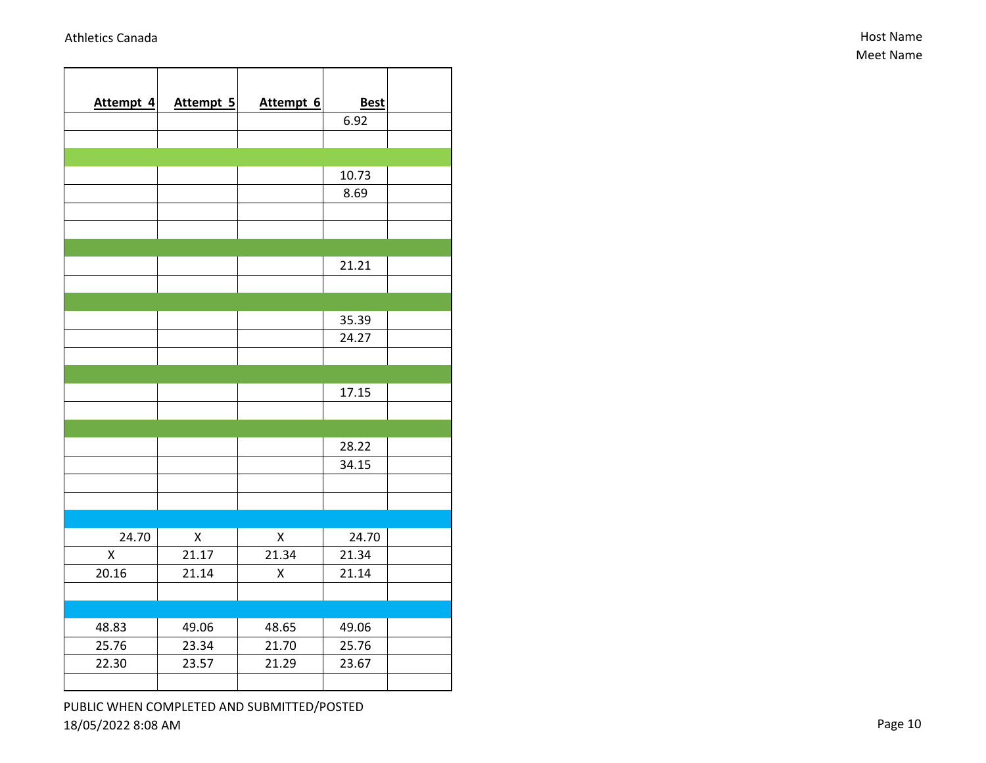| Attempt 4 | Attempt 5          | Attempt 6          | <b>Best</b> |  |
|-----------|--------------------|--------------------|-------------|--|
|           |                    |                    | 6.92        |  |
|           |                    |                    |             |  |
|           |                    |                    |             |  |
|           |                    |                    | 10.73       |  |
|           |                    |                    | 8.69        |  |
|           |                    |                    |             |  |
|           |                    |                    |             |  |
|           |                    |                    |             |  |
|           |                    |                    | 21.21       |  |
|           |                    |                    |             |  |
|           |                    |                    |             |  |
|           |                    |                    | 35.39       |  |
|           |                    |                    | 24.27       |  |
|           |                    |                    |             |  |
|           |                    |                    |             |  |
|           |                    |                    | 17.15       |  |
|           |                    |                    |             |  |
|           |                    |                    |             |  |
|           |                    |                    | 28.22       |  |
|           |                    |                    | 34.15       |  |
|           |                    |                    |             |  |
|           |                    |                    |             |  |
| 24.70     | $\pmb{\mathsf{X}}$ | $\pmb{\mathsf{X}}$ | 24.70       |  |
| X         | 21.17              | 21.34              | 21.34       |  |
| 20.16     | 21.14              | X                  | 21.14       |  |
|           |                    |                    |             |  |
|           |                    |                    |             |  |
| 48.83     | 49.06              | 48.65              | 49.06       |  |
| 25.76     | 23.34              | 21.70              | 25.76       |  |
| 22.30     | 23.57              | 21.29              | 23.67       |  |
|           |                    |                    |             |  |
|           |                    |                    |             |  |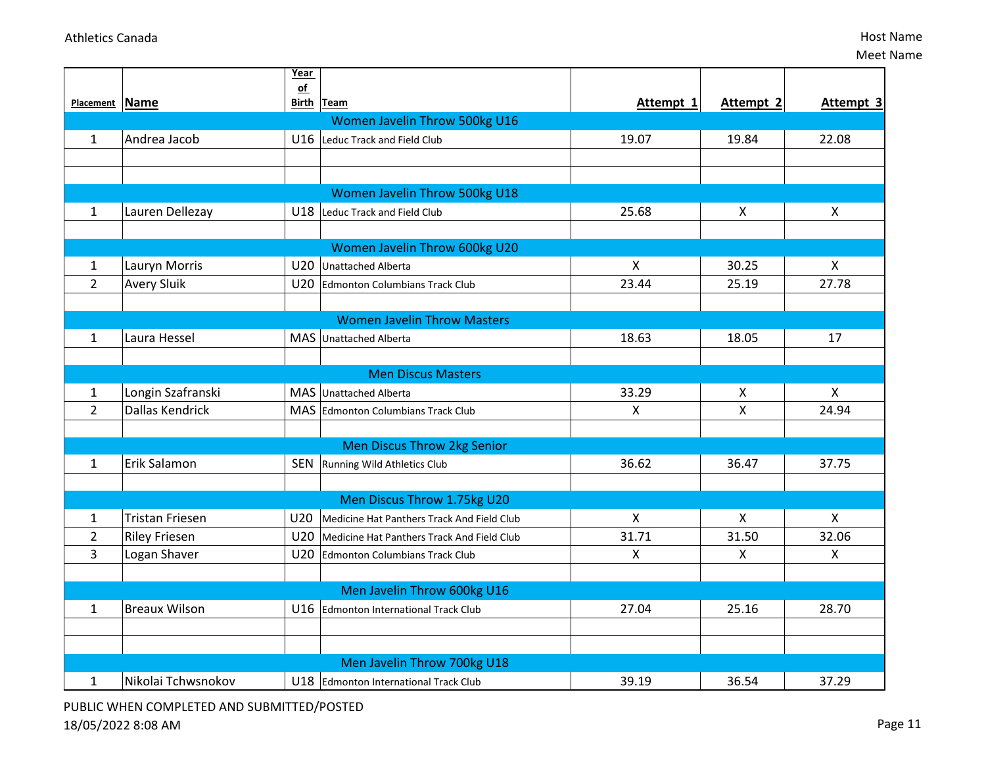|                |                        | Year            |                                            |                |                           |                    |
|----------------|------------------------|-----------------|--------------------------------------------|----------------|---------------------------|--------------------|
| Placement Name |                        | of              | Birth Team                                 | Attempt 1      | Attempt 2                 | Attempt 3          |
|                |                        |                 | Women Javelin Throw 500kg U16              |                |                           |                    |
| $\mathbf{1}$   | Andrea Jacob           | U16             | Leduc Track and Field Club                 | 19.07          | 19.84                     | 22.08              |
|                |                        |                 |                                            |                |                           |                    |
|                |                        |                 |                                            |                |                           |                    |
|                |                        |                 | Women Javelin Throw 500kg U18              |                |                           |                    |
| $\mathbf{1}$   | Lauren Dellezay        |                 | U18 Leduc Track and Field Club             | 25.68          | $\boldsymbol{\mathsf{X}}$ | X                  |
|                |                        |                 |                                            |                |                           |                    |
|                |                        |                 | Women Javelin Throw 600kg U20              |                |                           |                    |
| $\mathbf{1}$   | Lauryn Morris          |                 | U20 Unattached Alberta                     | $\pmb{\times}$ | 30.25                     | $\pmb{\mathsf{X}}$ |
| $\overline{2}$ | <b>Avery Sluik</b>     | U20             | Edmonton Columbians Track Club             | 23.44          | 25.19                     | 27.78              |
|                |                        |                 |                                            |                |                           |                    |
|                |                        |                 | <b>Women Javelin Throw Masters</b>         |                |                           |                    |
| $\mathbf{1}$   | Laura Hessel           |                 | MAS Unattached Alberta                     | 18.63          | 18.05                     | 17                 |
|                |                        |                 |                                            |                |                           |                    |
|                |                        |                 | <b>Men Discus Masters</b>                  |                |                           |                    |
| 1              | Longin Szafranski      |                 | MAS Unattached Alberta                     | 33.29          | $\boldsymbol{\mathsf{X}}$ | $\mathsf{X}$       |
| $\overline{2}$ | <b>Dallas Kendrick</b> |                 | MAS Edmonton Columbians Track Club         | $\mathsf{X}$   | X                         | 24.94              |
|                |                        |                 |                                            |                |                           |                    |
|                |                        |                 | <b>Men Discus Throw 2kg Senior</b>         |                |                           |                    |
| $\mathbf{1}$   | Erik Salamon           | <b>SEN</b>      | Running Wild Athletics Club                | 36.62          | 36.47                     | 37.75              |
|                |                        |                 |                                            |                |                           |                    |
|                |                        |                 | Men Discus Throw 1.75kg U20                |                |                           |                    |
| 1              | <b>Tristan Friesen</b> | U20             | Medicine Hat Panthers Track And Field Club | $\pmb{\times}$ | $\pmb{\times}$            | $\pmb{\times}$     |
| $\overline{2}$ | <b>Riley Friesen</b>   | U <sub>20</sub> | Medicine Hat Panthers Track And Field Club | 31.71          | 31.50                     | 32.06              |
| 3              | Logan Shaver           |                 | U20 Edmonton Columbians Track Club         | X              | $\boldsymbol{\mathsf{X}}$ | X                  |
|                |                        |                 |                                            |                |                           |                    |
|                |                        |                 | Men Javelin Throw 600kg U16                |                |                           |                    |
| $\mathbf{1}$   | <b>Breaux Wilson</b>   | U16             | <b>Edmonton International Track Club</b>   | 27.04          | 25.16                     | 28.70              |
|                |                        |                 |                                            |                |                           |                    |
|                |                        |                 |                                            |                |                           |                    |
|                |                        |                 | Men Javelin Throw 700kg U18                |                |                           |                    |
| $\mathbf{1}$   | Nikolai Tchwsnokov     |                 | U18 Edmonton International Track Club      | 39.19          | 36.54                     | 37.29              |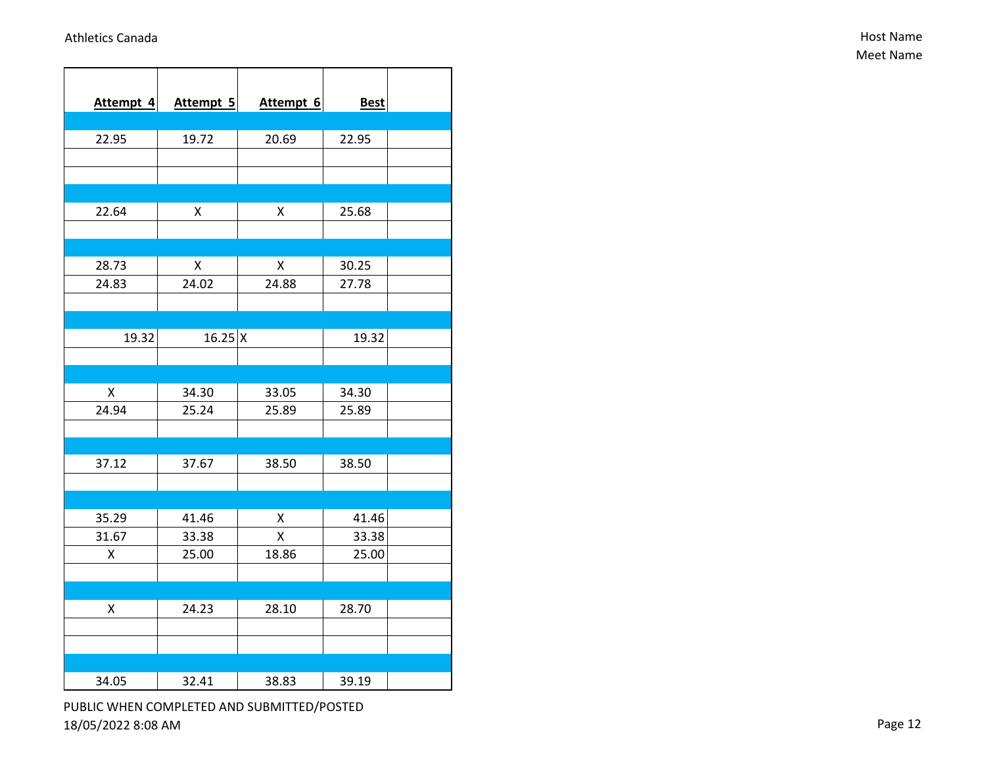| Attempt 4 | Attempt 5          | Attempt 6 | <b>Best</b> |  |
|-----------|--------------------|-----------|-------------|--|
|           |                    |           |             |  |
| 22.95     | 19.72              | 20.69     | 22.95       |  |
|           |                    |           |             |  |
|           |                    |           |             |  |
| 22.64     | Χ                  | Χ         | 25.68       |  |
|           |                    |           |             |  |
|           |                    |           |             |  |
| 28.73     | $\pmb{\mathsf{X}}$ | X         | 30.25       |  |
| 24.83     | 24.02              | 24.88     | 27.78       |  |
|           |                    |           |             |  |
|           |                    |           |             |  |
| 19.32     | $16.25 \,   X$     |           | 19.32       |  |
|           |                    |           |             |  |
|           |                    |           |             |  |
| Χ         | 34.30              | 33.05     | 34.30       |  |
| 24.94     | 25.24              | 25.89     | 25.89       |  |
|           |                    |           |             |  |
|           |                    |           |             |  |
| 37.12     | 37.67              | 38.50     | 38.50       |  |
|           |                    |           |             |  |
|           |                    |           |             |  |
| 35.29     | 41.46              | X         | 41.46       |  |
| 31.67     | 33.38              | X         | 33.38       |  |
| Χ         | 25.00              | 18.86     | 25.00       |  |
|           |                    |           |             |  |
| Χ         | 24.23              | 28.10     | 28.70       |  |
|           |                    |           |             |  |
|           |                    |           |             |  |
|           |                    |           |             |  |
| 34.05     | 32.41              | 38.83     | 39.19       |  |
|           |                    |           |             |  |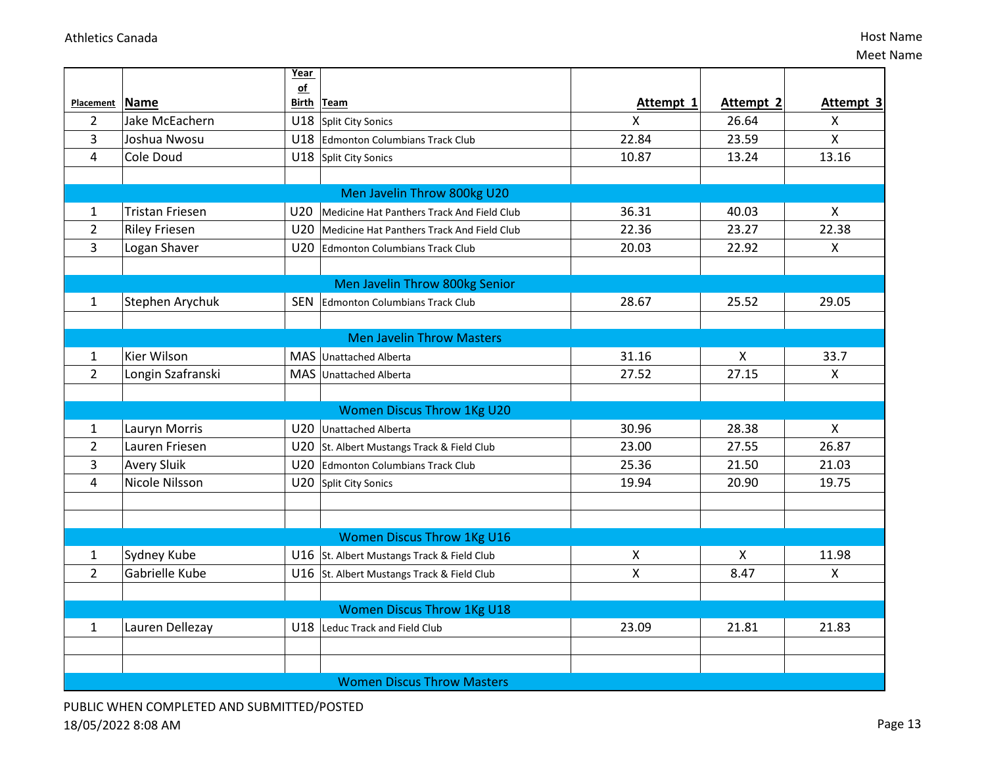|                |                                   | Year          |                                                |                           |              |                           |
|----------------|-----------------------------------|---------------|------------------------------------------------|---------------------------|--------------|---------------------------|
| Placement Name |                                   | $\mathsf{of}$ | Birth Team                                     | Attempt 1                 | Attempt 2    | Attempt 3                 |
| $\overline{2}$ | Jake McEachern                    |               | U18 Split City Sonics                          | $\mathsf{x}$              | 26.64        | X                         |
| $\overline{3}$ | Joshua Nwosu                      |               | 22.84<br>U18 Edmonton Columbians Track Club    |                           | 23.59        | $\overline{\mathsf{X}}$   |
| 4              | Cole Doud                         |               | U18 Split City Sonics                          | 10.87                     | 13.24        | 13.16                     |
|                |                                   |               |                                                |                           |              |                           |
|                | Men Javelin Throw 800kg U20       |               |                                                |                           |              |                           |
| 1              | <b>Tristan Friesen</b>            | U20           | Medicine Hat Panthers Track And Field Club     | 36.31                     | 40.03        | $\mathsf{X}$              |
| $\overline{2}$ | <b>Riley Friesen</b>              |               | U20 Medicine Hat Panthers Track And Field Club | 22.36                     | 23.27        | 22.38                     |
| $\overline{3}$ | Logan Shaver                      |               | U20 Edmonton Columbians Track Club             | 20.03                     | 22.92        | $\boldsymbol{\mathsf{X}}$ |
|                |                                   |               |                                                |                           |              |                           |
|                |                                   |               | Men Javelin Throw 800kg Senior                 |                           |              |                           |
| $\mathbf{1}$   | Stephen Arychuk                   | <b>SEN</b>    | Edmonton Columbians Track Club                 | 28.67                     | 25.52        | 29.05                     |
|                |                                   |               |                                                |                           |              |                           |
|                |                                   |               | <b>Men Javelin Throw Masters</b>               |                           |              |                           |
| $\mathbf{1}$   | Kier Wilson                       |               | MAS Unattached Alberta                         | 31.16                     | X            | 33.7                      |
| $\overline{2}$ | Longin Szafranski                 |               | MAS Unattached Alberta                         | 27.52                     | 27.15        | $\mathsf{X}$              |
|                |                                   |               |                                                |                           |              |                           |
|                | <b>Women Discus Throw 1Kg U20</b> |               |                                                |                           |              |                           |
| 1              | Lauryn Morris                     |               | U20 Unattached Alberta                         | 30.96                     | 28.38        | $\mathsf{X}$              |
| $\overline{2}$ | Lauren Friesen                    |               | U20 St. Albert Mustangs Track & Field Club     | 23.00                     | 27.55        | 26.87                     |
| 3              | <b>Avery Sluik</b>                |               | U20 Edmonton Columbians Track Club             | 25.36                     | 21.50        | 21.03                     |
| 4              | Nicole Nilsson                    |               | U20 Split City Sonics                          | 19.94                     | 20.90        | 19.75                     |
|                |                                   |               |                                                |                           |              |                           |
|                |                                   |               |                                                |                           |              |                           |
|                | <b>Women Discus Throw 1Kg U16</b> |               |                                                |                           |              |                           |
| 1              | Sydney Kube                       |               | U16 St. Albert Mustangs Track & Field Club     | X                         | $\mathsf{X}$ | 11.98                     |
| $\overline{2}$ | Gabrielle Kube                    |               | U16 St. Albert Mustangs Track & Field Club     | $\boldsymbol{\mathsf{X}}$ | 8.47         | $\mathsf{X}$              |
|                |                                   |               |                                                |                           |              |                           |
|                | <b>Women Discus Throw 1Kg U18</b> |               |                                                |                           |              |                           |
| $\mathbf{1}$   | Lauren Dellezay                   |               | U18 Leduc Track and Field Club                 | 23.09                     | 21.81        | 21.83                     |
|                |                                   |               |                                                |                           |              |                           |
|                |                                   |               |                                                |                           |              |                           |
|                |                                   |               | <b>Women Discus Throw Masters</b>              |                           |              |                           |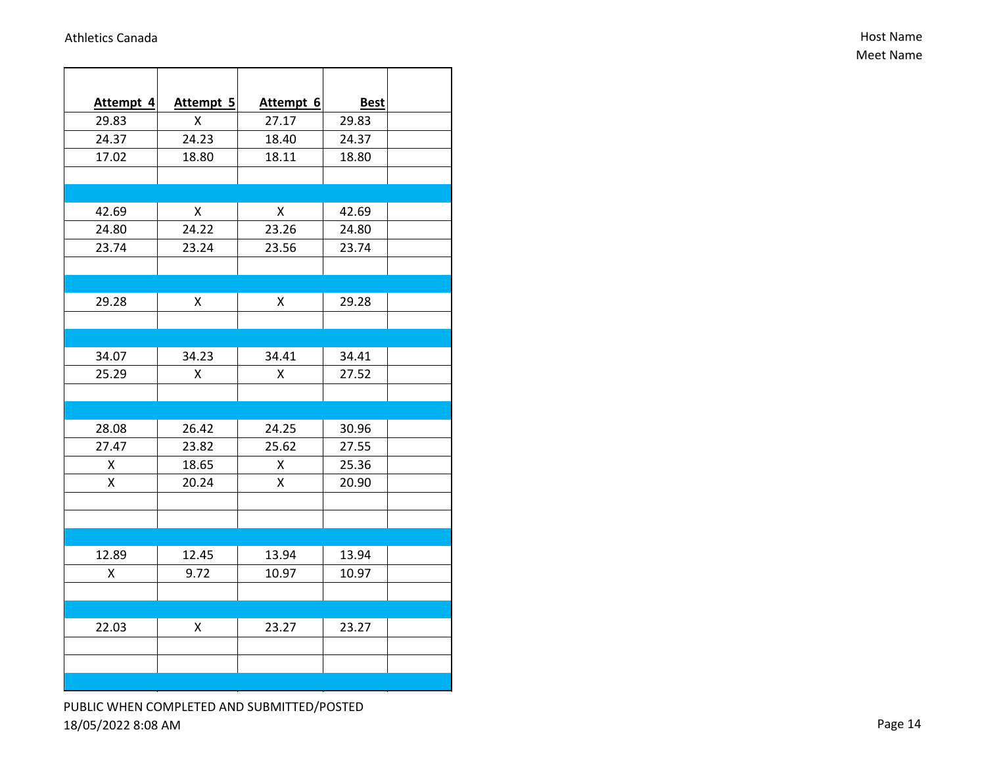| Attempt 4 | Attempt 5 | Attempt 6 | <b>Best</b> |  |
|-----------|-----------|-----------|-------------|--|
| 29.83     | x         | 27.17     | 29.83       |  |
| 24.37     | 24.23     | 18.40     | 24.37       |  |
| 17.02     | 18.80     | 18.11     | 18.80       |  |
|           |           |           |             |  |
|           |           |           |             |  |
| 42.69     | Χ         | Χ         | 42.69       |  |
| 24.80     | 24.22     | 23.26     | 24.80       |  |
| 23.74     | 23.24     | 23.56     | 23.74       |  |
|           |           |           |             |  |
|           |           |           |             |  |
| 29.28     | Χ         | X         | 29.28       |  |
|           |           |           |             |  |
|           |           |           |             |  |
| 34.07     | 34.23     | 34.41     | 34.41       |  |
| 25.29     | х         | X         | 27.52       |  |
|           |           |           |             |  |
|           |           |           |             |  |
| 28.08     | 26.42     | 24.25     | 30.96       |  |
| 27.47     | 23.82     | 25.62     | 27.55       |  |
| Χ         | 18.65     | Χ         | 25.36       |  |
| Χ         | 20.24     | Χ         | 20.90       |  |
|           |           |           |             |  |
|           |           |           |             |  |
|           |           |           |             |  |
| 12.89     | 12.45     | 13.94     | 13.94       |  |
| Χ         | 9.72      | 10.97     | 10.97       |  |
|           |           |           |             |  |
|           |           |           |             |  |
| 22.03     | Χ         | 23.27     | 23.27       |  |
|           |           |           |             |  |
|           |           |           |             |  |
|           |           |           |             |  |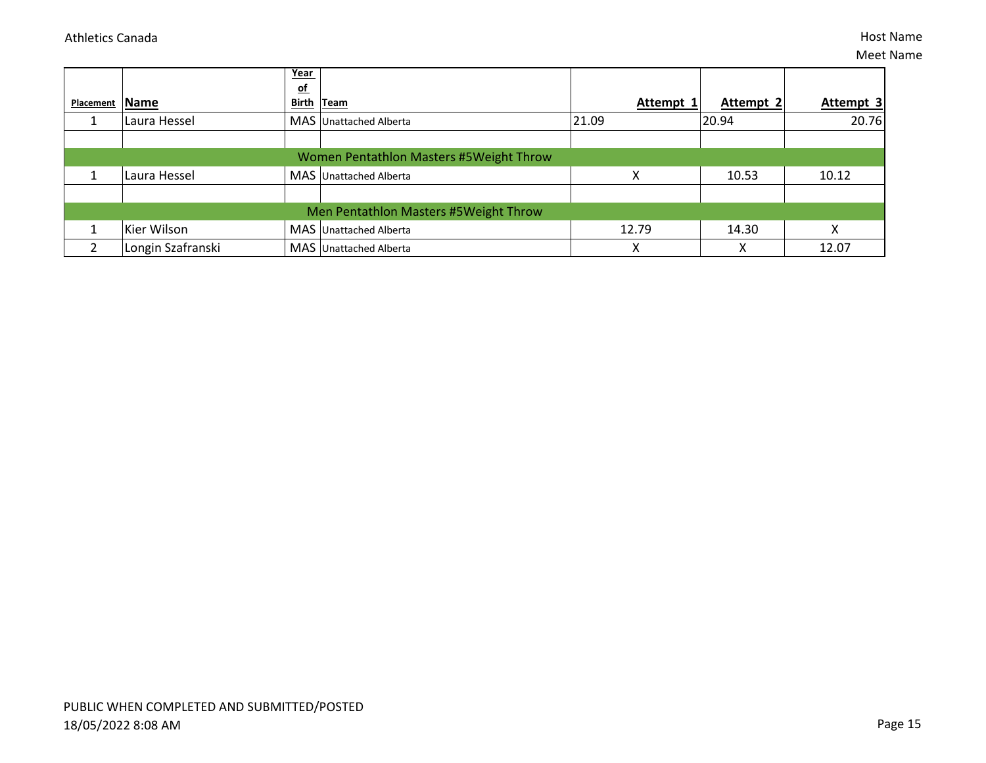|                                       |                   | Year<br><u>of</u>                       |           |                  |           |  |
|---------------------------------------|-------------------|-----------------------------------------|-----------|------------------|-----------|--|
| Placement                             | Name              | Birth Team                              | Attempt 1 | <b>Attempt 2</b> | Attempt 3 |  |
|                                       | Laura Hessel      | MAS Unattached Alberta                  | 21.09     | 20.94            | 20.76     |  |
|                                       |                   |                                         |           |                  |           |  |
|                                       |                   | Women Pentathlon Masters #5Weight Throw |           |                  |           |  |
|                                       | Laura Hessel      | MAS Unattached Alberta                  | Χ         | 10.53            | 10.12     |  |
|                                       |                   |                                         |           |                  |           |  |
| Men Pentathlon Masters #5Weight Throw |                   |                                         |           |                  |           |  |
|                                       | Kier Wilson       | MAS Unattached Alberta                  | 12.79     | 14.30            |           |  |
|                                       | Longin Szafranski | MAS Unattached Alberta                  | v<br>∧    | $\checkmark$     | 12.07     |  |